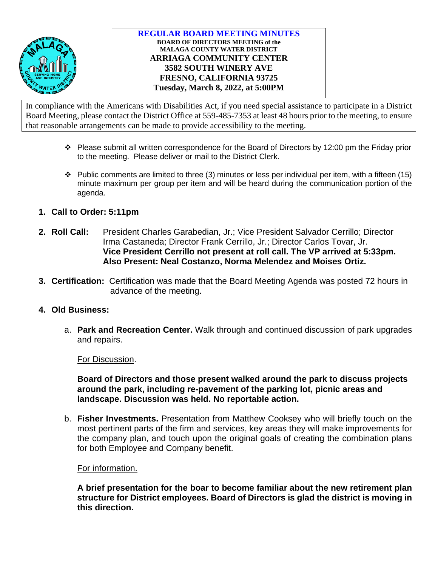

In compliance with the Americans with Disabilities Act, if you need special assistance to participate in a District Board Meeting, please contact the District Office at 559-485-7353 at least 48 hours prior to the meeting, to ensure that reasonable arrangements can be made to provide accessibility to the meeting.

- $\cdot \cdot$  Please submit all written correspondence for the Board of Directors by 12:00 pm the Friday prior to the meeting. Please deliver or mail to the District Clerk.
- $\cdot \cdot$  Public comments are limited to three (3) minutes or less per individual per item, with a fifteen (15) minute maximum per group per item and will be heard during the communication portion of the agenda.
- **1. Call to Order: 5:11pm**
- **2. Roll Call:** President Charles Garabedian, Jr.; Vice President Salvador Cerrillo; Director Irma Castaneda; Director Frank Cerrillo, Jr.; Director Carlos Tovar, Jr. **Vice President Cerrillo not present at roll call. The VP arrived at 5:33pm. Also Present: Neal Costanzo, Norma Melendez and Moises Ortiz.**
- **3. Certification:** Certification was made that the Board Meeting Agenda was posted 72 hours in advance of the meeting.
- **4. Old Business:**
	- a. **Park and Recreation Center.** Walk through and continued discussion of park upgrades and repairs.

For Discussion.

**Board of Directors and those present walked around the park to discuss projects around the park, including re-pavement of the parking lot, picnic areas and landscape. Discussion was held. No reportable action.**

b. **Fisher Investments.** Presentation from Matthew Cooksey who will briefly touch on the most pertinent parts of the firm and services, key areas they will make improvements for the company plan, and touch upon the original goals of creating the combination plans for both Employee and Company benefit.

For information.

**A brief presentation for the boar to become familiar about the new retirement plan structure for District employees. Board of Directors is glad the district is moving in this direction.**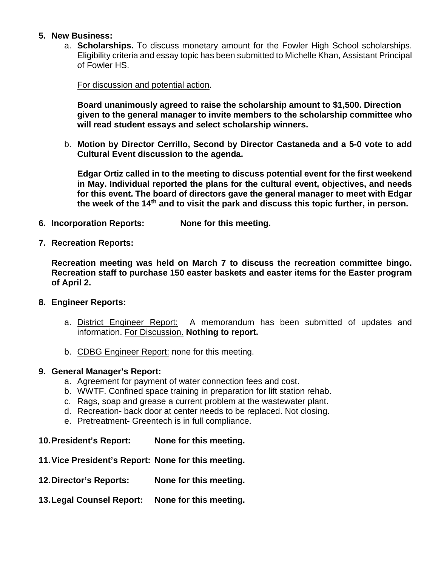# **5. New Business:**

a. **Scholarships.** To discuss monetary amount for the Fowler High School scholarships. Eligibility criteria and essay topic has been submitted to Michelle Khan, Assistant Principal of Fowler HS.

For discussion and potential action.

**Board unanimously agreed to raise the scholarship amount to \$1,500. Direction given to the general manager to invite members to the scholarship committee who will read student essays and select scholarship winners.**

b. **Motion by Director Cerrillo, Second by Director Castaneda and a 5-0 vote to add Cultural Event discussion to the agenda.** 

**Edgar Ortiz called in to the meeting to discuss potential event for the first weekend in May. Individual reported the plans for the cultural event, objectives, and needs for this event. The board of directors gave the general manager to meet with Edgar the week of the 14th and to visit the park and discuss this topic further, in person.** 

- **6. Incorporation Reports: None for this meeting.**
- **7. Recreation Reports:**

**Recreation meeting was held on March 7 to discuss the recreation committee bingo. Recreation staff to purchase 150 easter baskets and easter items for the Easter program of April 2.**

- **8. Engineer Reports:**
	- a. District Engineer Report: A memorandum has been submitted of updates and information. For Discussion. **Nothing to report.**
	- b. CDBG Engineer Report: none for this meeting.
- **9. General Manager's Report:**
	- a. Agreement for payment of water connection fees and cost.
	- b. WWTF. Confined space training in preparation for lift station rehab.
	- c. Rags, soap and grease a current problem at the wastewater plant.
	- d. Recreation- back door at center needs to be replaced. Not closing.
	- e. Pretreatment- Greentech is in full compliance.
- **10.President's Report: None for this meeting.**
- **11.Vice President's Report: None for this meeting.**
- **12.Director's Reports: None for this meeting.**
- **13.Legal Counsel Report: None for this meeting.**